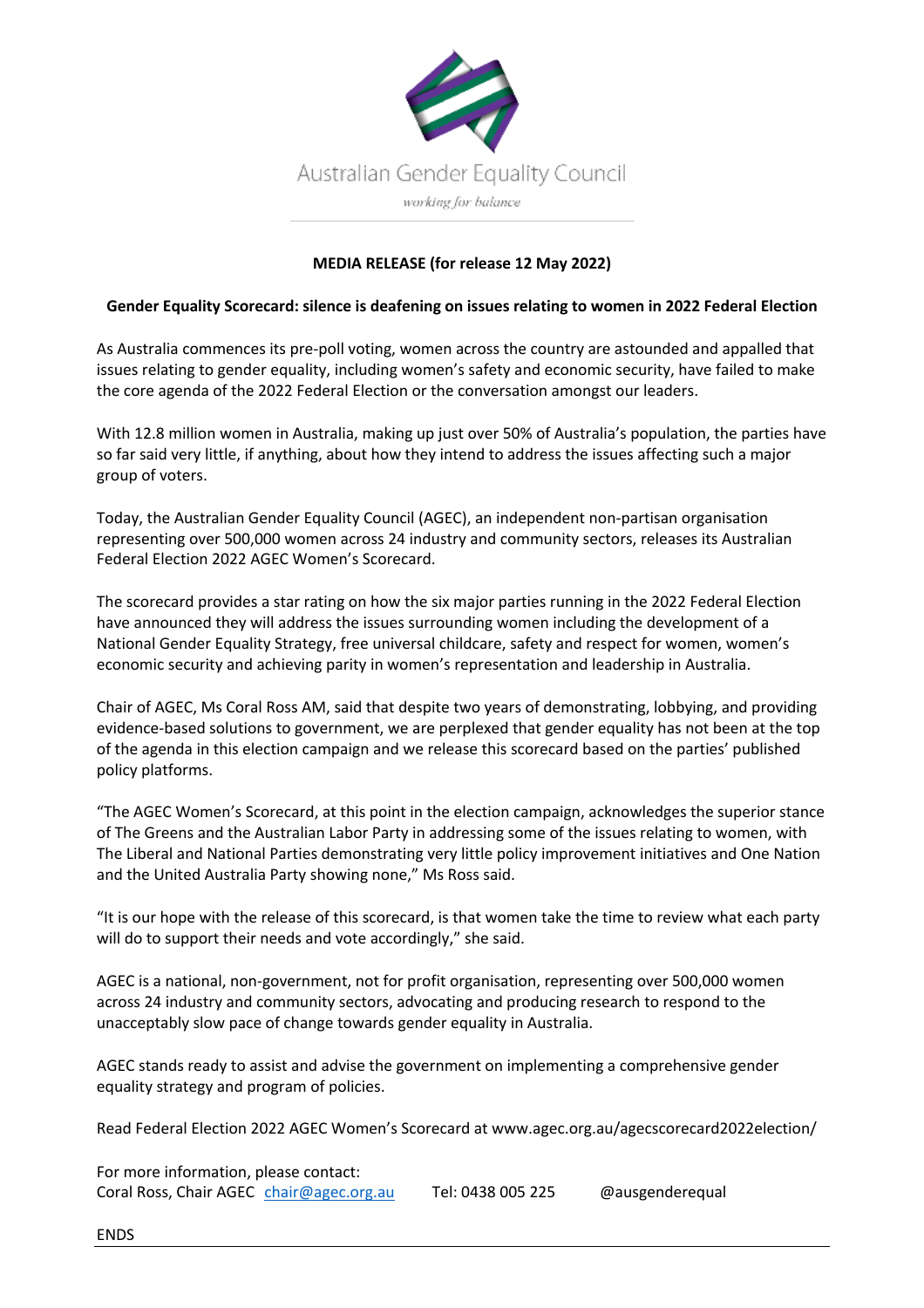

## **MEDIA RELEASE (for release 12 May 2022)**

## **Gender Equality Scorecard: silence is deafening on issues relating to women in 2022 Federal Election**

As Australia commences its pre-poll voting, women across the country are astounded and appalled that issues relating to gender equality, including women's safety and economic security, have failed to make the core agenda of the 2022 Federal Election or the conversation amongst our leaders.

With 12.8 million women in Australia, making up just over 50% of Australia's population, the parties have so far said very little, if anything, about how they intend to address the issues affecting such a major group of voters.

Today, the Australian Gender Equality Council (AGEC), an independent non-partisan organisation representing over 500,000 women across 24 industry and community sectors, releases its Australian Federal Election 2022 AGEC Women's Scorecard.

The scorecard provides a star rating on how the six major parties running in the 2022 Federal Election have announced they will address the issues surrounding women including the development of a National Gender Equality Strategy, free universal childcare, safety and respect for women, women's economic security and achieving parity in women's representation and leadership in Australia.

Chair of AGEC, Ms Coral Ross AM, said that despite two years of demonstrating, lobbying, and providing evidence-based solutions to government, we are perplexed that gender equality has not been at the top of the agenda in this election campaign and we release this scorecard based on the parties' published policy platforms.

"The AGEC Women's Scorecard, at this point in the election campaign, acknowledges the superior stance of The Greens and the Australian Labor Party in addressing some of the issues relating to women, with The Liberal and National Parties demonstrating very little policy improvement initiatives and One Nation and the United Australia Party showing none," Ms Ross said.

"It is our hope with the release of this scorecard, is that women take the time to review what each party will do to support their needs and vote accordingly," she said.

AGEC is a national, non-government, not for profit organisation, representing over 500,000 women across 24 industry and community sectors, advocating and producing research to respond to the unacceptably slow pace of change towards gender equality in Australia.

AGEC stands ready to assist and advise the government on implementing a comprehensive gender equality strategy and program of policies.

Read Federal Election 2022 AGEC Women's Scorecard at www.agec.org.au/agecscorecard2022election/

For more information, please contact: Coral Ross, Chair AGEC chair@agec.org.au Tel: 0438 005 225 @ausgenderequal